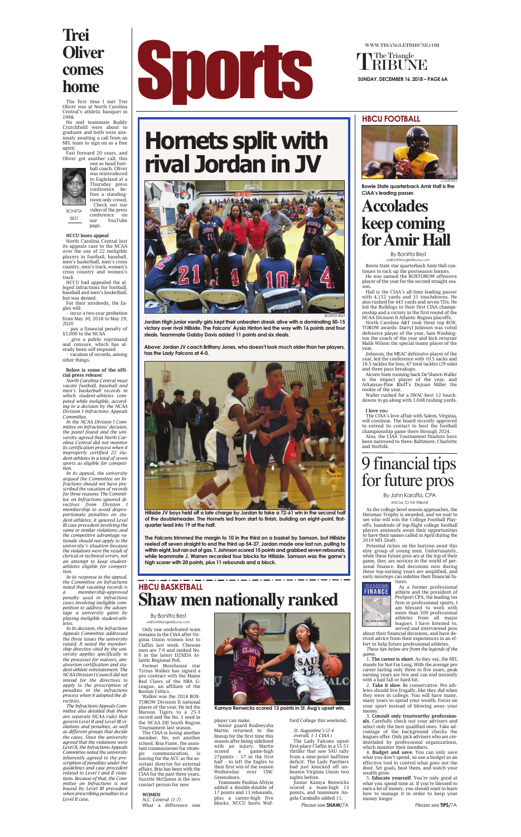Bowie State star quarterback Amir Hall continues to rack up the postseason honors.

He was named the BOXTOROW offensive player of the year for the second straight season.

Hall is the CIAA's all-time leading passer with 4,152 yards and 31 touchdowns. He also rushed for 445 yards and seven TDs. He led the Bulldogs to their first CIAA championship and a victory in the first round of the NCAA Division II Atlantic Region playoffs.

North Carolina A&T took three top BOX-TOROW awards: Darryl Johnson was voted defensive player of the year, Sam Washington the coach of the year and kick returner Malik Wilson the special teams player of the year.

Johnson, the MEAC defensive player of the year, led the conference with 10.5 sacks and 18.5 tackles for loss, 47 total tackles (29 solo) and three pass breakups.

Alcorn State running back De'Shawn Waller is the impact player of the year, and Arkansas-Pine Bluff's Dejuan Miller the rookie of the year.

Waller rushed for a SWAC-best 12 touchdowns to go along with 1,048 rushing yards.

#### I love you

The CIAA's love affair with Salem, Virginia, will continue. The board recently approved to extend its contact to host the football championship game there through 2024.

Also, the CIAA Tournament finalists have been narrowed to three: Baltimore, Charlotte and Norfolk.





WWW.TRIANGLETRIBUNE.COM

The Triangle

### **Accolades keep coming for Amir Hall**



**Bowie State quarterback Amir Hall is the CIAA's leading passer.**

#### By Bonitta Best *editor@triangletribune.com*

Only one undefeated team remains in the CIAA after Virginia Union women lost to Claflin last week. Chowan men are 7-0 and ranked No. 6 in the latest D2SIDA Atlantic Regional Poll.

Former Morehouse star Tyrius Walker has signed a pro contract with the Maine Red Claws of the NBA G-League, an affiliate of the Boston Celtics.

Walker was the 2018 BOX-TOROW Division II national player of the year. He led the Maroon Tigers to a 25-3 record and the No. 1 seed in the NCAA DII South Region Tournament last season.

The CIAA is losing another member. No, not another school. Bria Funte, the assistant commissioner for strategic communication, is leaving for the ACC as the assistant director for external affairs. Bria has been with the CIAA for the past three years. Suzette McQueen is the new contact person for now

#### WOMEN

*N.C. Central (1-7)* What a difference one player can make.

Senior guard Rodneysha Martin returned to the lineup for the first time this season after being sidelined with an injury. Martin scored a game-high 27points – 17 in the first half – to left the Eagles to their first win of the season<br>Wednesday over UNC Wednesday Greensboro.

Teammate Paulina Afriyie added a double-double of 17 points and 13 rebounds, plus a career-high five blocks. NCCU hosts Wofford College this weekend.

*St. Augustine's (2-4 overall, 1-1 CIAA )* The Lady Falcons upset first-place Claflin in a 55-51 thriller that saw SAU rally from a nine-point halftime deficit. The Lady Panthers had just knocked off unbeaten Virginia Union two nights before.

Junior Kamya Renwicks scored a team-high 13 points, and teammate Angela Caraballo added 11.

**Jordan High junior varsity girls kept their unbeaten streak alive with a dominating 50-15 victory over rival Hillside. The Falcons' Aysia Hinton led the way with 16 points and four steals. Teammate Gabby Davis added 11 points and six steals.** 

• pay a financial penalty of \$5,000 to the NCAA

> **Above: Jordan JV coach Brittany Jones, who doesn't look much older than her players, has the Lady Falcons at 4-0.**





#### **HBCU FOOTBALL**

As the college bowl season approaches, the Heisman Trophy is awarded, and we wait to see who will win the College Football Playoffs, hundreds of top-flight college football players anxiously await their opportunities to have their names called in April during the 2019 NFL Draft.

Potential riches on the horizon await this elite group of young men. Unfortunately, while these future pros are at the top of their game, they are novices in the world of personal finance. Bad decisions now during these top-earning years are amplified, and early missteps can sideline their financial fu-



As a former professional athlete and the president of ProSport CPA, the leading tax firm in professional sports, I am blessed to work with more than 500 professional athletes from all major leagues. I have listened to, served and interviewed pros

about their financial decisions, and have derived advice from their experiences in an effort to help future professional athletes.

*These tips below are from the legends of the game.*

1. The career is short. As they say, the NFL stands for Not For Long. With the average pro career lasting only three to five years, peak earning years are few and can end instantly with a bad fall or hard hit.

2. Take it slow. Be conservative. Pro athletes should live frugally, like they did when they were in college. You will have many, many years to spend your wealth. Focus on your sport instead of blowing away your money.

3. Consult only trustworthy professionals. Carefully check out your advisers and select only the best qualified ones. Take advantage of the background checks the leagues offer. Only pick advisers who are credentialed by professional organizations, which monitor their members.

4. Budget and save. You can only save what you don't spend, so use a budget as an effective tool to control what goes out the door. Set goals, beat them, and watch your wealth grow.

5. Educate yourself. You're only good at what you spend time at. If you're blessed to earn a lot of money, you should want to learn how to manage it in order to keep your money longer.

## 9 financial tips for future pros

By John Karaffa, CPA *SPECIAL TO THE TRIBUNE*

# **Hornets split with rival Jordan in JV**

Please see **SHAW/**7A



**Kamya Renwicks scored 13 points in St. Aug's upset win.**

The first time I met Trei Oliver was at North Carolina Central's athletic banquet in 1998.

He and teammate Buddy Crutchfield were about to graduate and both were anxiously awaiting a call from an NFL team to sign on as a free agent.

Fast forward 20 years, and Oliver got another call, this one as head foot-





video of the press

**BONITTA** 

NCCU loses appeal

North Carolina Central lost its appeals case to the NCAA over the use of 22 ineligible players in football, baseball, men's basketball, men's cross country, men's track, women's cross country and women's track

NCCU had appealed the alleged infractions for football, baseball and men's basketball, but was denied.

For their misdeeds, the Eagles will:

• incur a two-year probation from May 30, 2018 to May 29, 2020

• give a public reprimand and censure, which has already been self-imposed

• vacation of records, among other things.

#### Below is some of the official press release:

*North Carolina Central must vacate football, baseball and men's basketball records in which student-athletes competed while ineligible, according to a decision by the NCAA Division I Infractions Appeals Committee.*

*In the NCAA Division I Committee on Infractions' decision, the panel found and the university agreed that North Carolina Central did not monitor its certification process when it improperly certified 22 student-athletes in a total of seven sports as eligible for competi-*

*tion.*

*In its appeal, the university argued the Committee on Infractions should not have prescribed the vacation of records for three reasons: The Committee on Infractions ignored directives from Division I membership to avoid disproportionate penalties on student-athletes; it ignored Level III case precedent involving the same or similar violations; and the competitive advantage rationale should not apply to the university's situation because the violations were the result of clerical or technical errors, not an attempt to keep studentathletes eligible for competition.*

conference on our YouTube page. BEST

### **Shaw men nationally ranked HBCU BASKETBALL**

*In its response to the appeal, the Committee on Infractions noted that vacating records is a membership-approved penalty used in infractions cases involving ineligible competition to address the advantage a university gains by playing ineligible student-athletes.*

*In its decision, the Infractions Appeals Committee addressed the three issues the university raised. It noted the membership directive cited by the university applies specifically to the processes for waivers, amateurism certification and student-athlete reinstatement. The NCAA Division I Council did not intend for the directives to apply to the prescription of penalties in the infractions process when it adopted the directives.*

*The Infractions Appeals Committee also detailed that there are separate NCAA rules that govern Level II and Level III violations and penalties, as well as different groups that decide the cases. Since the university agreed that the violations were Level II, the Infractions Appeals Committee noted the university inherently agreed to the prescription of penalties under the guidelines and case precedent related to Level I and II violations. Because of that, the Committee on Infractions is not bound by Level III precedent when prescribing penalties in a Level II case.*

### **Trei Oliver comes home**

Please see **TIPS/**7A

**Hillside JV boys held off a late charge by Jordan to take a 72-61 win in the second half of the doubleheader. The Hornets led from start to finish, building an eight-point, firstquarter lead into 19 at the half.** 

**The Falcons trimmed the margin to 10 in the third on a basket by Samson, but Hillside reeled off seven straight to end the third up 54-37. Jordan made one last run, pulling to within eight, but ran out of gas. T. Johnson scored 15 points and grabbed seven rebounds, while teammate J. Warren recorded four blocks for Hillside. Samson was the game's high scorer with 20 points, plus 11 rebounds and a block.** 

By Bonitta Best *editor@triangletribune.com*